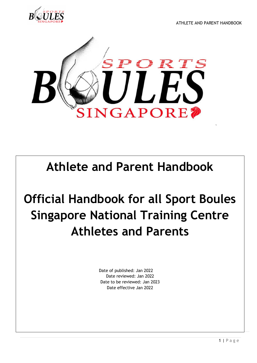ATHLETE AND PARENT HANDBOOK





## **Athlete and Parent Handbook**

# **Official Handbook for all Sport Boules Singapore National Training Centre Athletes and Parents**

Date of published: Jan 2022 Date reviewed: Jan 2022 Date to be reviewed: Jan 2023 Date effective Jan 2022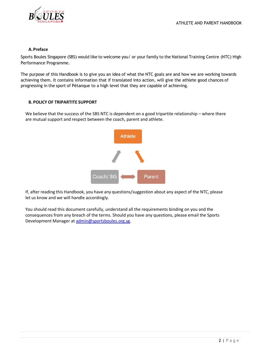

#### **A.Preface**

Sports Boules Singapore (SBS) would like to welcome you/ or your family to the National Training Centre (NTC) High Performance Programme.

The purpose of this Handbook is to give you an idea of what the NTC goals are and how we are working towards achieving them. It contains information that if translated into action, will give the athlete good chances of progressing in the sport of Pétanque to a high level that they are capable of achieving.

#### **B. POLICY OF TRIPARTITE SUPPORT**

We believe that the success of the SBS NTC is dependent on a good tripartite relationship – where there are mutual support and respect between the coach, parent and athlete.



If, after reading this Handbook, you have any questions/suggestion about any aspect of the NTC, please let us know and we will handle accordingly.

You should read this document carefully, understand all the requirements binding on you and the consequences from any breach of the terms. Should you have any questions, please email the Sports Development Manager at [admin@sportsboules.org.sg.](mailto:admin@sportsboules.org.sg)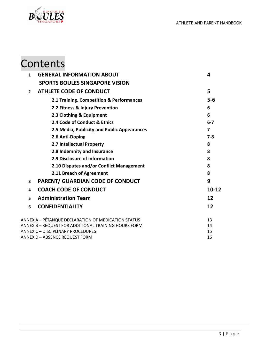

## Contents

| $\mathbf{1}$            | <b>GENERAL INFORMATION ABOUT</b>                     | 4         |
|-------------------------|------------------------------------------------------|-----------|
|                         | <b>SPORTS BOULES SINGAPORE VISION</b>                |           |
| $\overline{2}$          | <b>ATHLETE CODE OF CONDUCT</b>                       | 5         |
|                         | 2.1 Training, Competition & Performances             | $5-6$     |
|                         | 2.2 Fitness & Injury Prevention                      | 6         |
|                         | 2.3 Clothing & Equipment                             | 6         |
|                         | 2.4 Code of Conduct & Ethics                         | $6 - 7$   |
|                         | 2.5 Media, Publicity and Public Appearances          | 7         |
|                         | 2.6 Anti-Doping                                      | 7-8       |
|                         | 2.7 Intellectual Property                            | 8         |
|                         | 2.8 Indemnity and Insurance                          | 8         |
|                         | 2.9 Disclosure of information                        | 8         |
|                         | 2.10 Disputes and/or Conflict Management             | 8         |
|                         | 2.11 Breach of Agreement                             | 8         |
| $\overline{\mathbf{3}}$ | <b>PARENT/ GUARDIAN CODE OF CONDUCT</b>              | 9         |
| 4                       | <b>COACH CODE OF CONDUCT</b>                         | $10 - 12$ |
| 5                       | <b>Administration Team</b>                           | 12        |
| 6                       | <b>CONFIDENTIALITY</b>                               | 12        |
|                         | ANNEX A - PÉTANQUE DECLARATION OF MEDICATION STATUS  | 13        |
|                         | ANNEX B - REQUEST FOR ADDITIONAL TRAINING HOURS FORM | 14        |
|                         | <b>ANNEX C - DISCIPLINARY PROCEDURES</b>             | 15        |
|                         | ANNEX D – ABSENCE REQUEST FORM                       | 16        |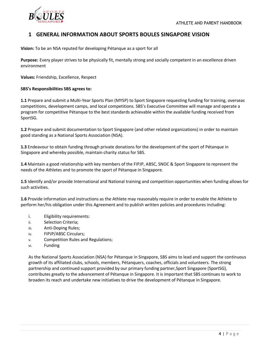

## **1 GENERAL INFORMATION ABOUT SPORTS BOULES SINGAPORE VISION**

**Vision:** To be an NSA reputed for developing Pétanque as a sport for all

**Purpose:** Every player strives to be physically fit, mentally strong and socially competent in an excellence driven environment

**Values:** Friendship, Excellence, Respect

#### **SBS's Responsibilities SBS agrees to:**

**1.1** Prepare and submit a Multi-Year Sports Plan (MYSP) to Sport Singapore requesting funding for training, overseas competitions, development camps, and local competitions. SBS's Executive Committee will manage and operate a program for competitive Pétanque to the best standards achievable within the available funding received from SportSG.

**1.2** Prepare and submit documentation to Sport Singapore (and other related organizations) in order to maintain good standing as a National Sports Association (NSA).

**1.3** Endeavour to obtain funding through private donations for the development of the sport of Pétanque in Singapore and whereby possible, maintain charity status for SBS.

**1.4** Maintain a good relationship with key members of the FIPJP, ABSC, SNOC & Sport Singapore to represent the needs of the Athletes and to promote the sport of Pétanque in Singapore.

**1.5** Identify and/or provide International and National training and competition opportunities when funding allows for such activities.

**1.6** Provide information and instructions as the Athlete may reasonably require in order to enable the Athlete to perform her/his obligation under this Agreement and to publish written policies and procedures including:

- i. Eligibility requirements:
- ii. Selection Criteria;
- iii. Anti-Doping Rules;
- iv. FIPJP/ABSC Circulars;
- v. Competition Rules and Regulations;
- vi. Funding

As the National Sports Association (NSA) for Pétanque in Singapore, SBS aims to lead and support the continuous growth of its affiliated clubs, schools, members, Pétanquers, coaches, officials and volunteers. The strong partnership and continued support provided by our primary funding partner,Sport Singapore (SportSG), contributes greatly to the advancement of Pétanque in Singapore. It is important that SBS continues to work to broaden its reach and undertake new initiatives to drive the development of Pétanque in Singapore.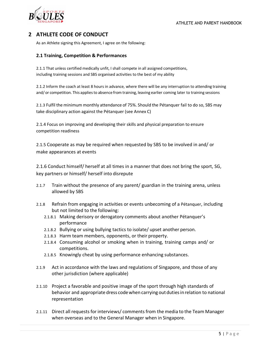

## **2 ATHLETE CODE OF CONDUCT**

As an Athlete signing this Agreement, I agree on the following:

#### **2.1 Training, Competition & Performances**

2.1.1 That unless certified medically unfit, I shall compete in all assigned competitions, including training sessions and SBS organised activities to the best of my ability

2.1.2 Inform the coach at least 8 hours in advance, where there will be any interruption to attending training and/ or competition. This appliesto absence from training, leaving earlier coming later to training sessions

2.1.3 Fulfil the minimum monthly attendance of 75%. Should the Pétanquer fail to do so, SBS may take disciplinary action against the Pétanquer (see Annex C)

2.1.4 Focus on improving and developing their skills and physical preparation to ensure competition readiness

2.1.5 Cooperate as may be required when requested by SBS to be involved in and/ or make appearances at events

2.1.6 Conduct himself/ herself at all times in a manner that does not bring the sport, SG, key partners or himself/ herself into disrepute

- 2.1.7 Train without the presence of any parent/ guardian in the training arena, unless allowed by SBS
- 2.1.8 Refrain from engaging in activities or events unbecoming of a Pétanquer, including but not limited to the following:
	- 2.1.8.1 Making derisory or derogatory comments about another Pétanquer's performance
	- 2.1.8.2 Bullying or using bullying tactics to isolate/ upset another person.
	- 2.1.8.3 Harm team members, opponents, or their property.
	- 2.1.8.4 Consuming alcohol or smoking when in training, training camps and/ or competitions.
	- 2.1.8.5 Knowingly cheat by using performance enhancing substances.
- 2.1.9 Act in accordance with the laws and regulations of Singapore, and those of any other jurisdiction (where applicable)
- 2.1.10 Project a favorable and positive image of the sport through high standards of behavior and appropriate dress code when carrying out duties in relation to national representation
- 2.1.11 Direct all requests for interviews/ comments from the media to the Team Manager when overseas and to the General Manager when in Singapore.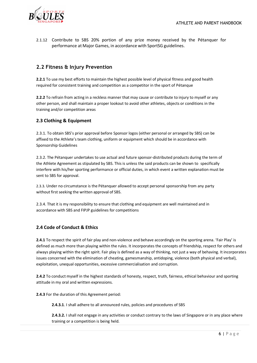

2.1.12 Contribute to SBS 20% portion of any prize money received by the Pétanquer for performance at Major Games, in accordance with SportSG guidelines.

## **2.2 Fitness & Injury Prevention**

**2.2.1** To use my best efforts to maintain the highest possible level of physical fitness and good health required for consistent training and competition as a competitor in the sport of Pétanque

**2.2.2** To refrain from acting in a reckless manner that may cause or contribute to injury to myself or any other person, and shall maintain a proper lookout to avoid other athletes, objects or conditions in the training and/or competition areas

#### **2.3 Clothing & Equipment**

2.3.1. To obtain SBS's prior approval before Sponsor logos (either personal or arranged by SBS) can be affixed to the Athlete's team clothing, uniform or equipment which should be in accordance with Sponsorship Guidelines

2.3.2. The Pétanquer undertakes to use actual and future sponsor-distributed products during the term of the Athlete Agreement as stipulated by SBS. This is unless the said products can be shown to specifically interfere with his/her sporting performance or official duties, in which event a written explanation must be sent to SBS for approval.

2.3.3. Under no circumstance is the Pétanquer allowed to accept personal sponsorship from any party without first seeking the written approval of SBS.

2.3.4. That it is my responsibility to ensure that clothing and equipment are well maintained and in accordance with SBS and FIPJP guidelines for competitions

#### **2.4 Code of Conduct & Ethics**

**2.4.1** To respect the spirit of fair play and non-violence and behave accordingly on the sporting arena. 'Fair Play' is defined as much more than playing within the rules. It incorporates the concepts of friendship, respect for others and always playing within the right spirit. Fair play is defined as a way of thinking, not just a way of behaving. It incorporates issues concerned with the elimination of cheating, gamesmanship, antidoping, violence (both physical and verbal), exploitation, unequal opportunities, excessive commercialisation and corruption.

**2.4.2** To conduct myself in the highest standards of honesty, respect, truth, fairness, ethical behaviour and sporting attitude in my oral and written expressions.

**2.4.3** For the duration of this Agreement period:

**2.4.3.1**. I shall adhere to all announced rules, policies and procedures of SBS

**2.4.3.2.** I shall not engage in any activities or conduct contrary to the laws of Singapore or in any place where training or a competition is being held.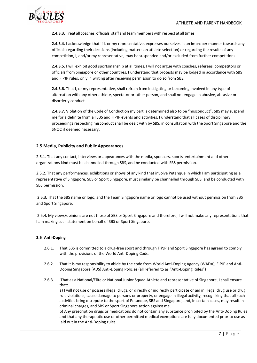

**2.4.3.3.** Treat all coaches, officials, staff and team members with respect at all times.

**2.4.3.4.** I acknowledge that if I, or my representative, expresses ourselves in an improper manner towards any officials regarding their decisions (including matters on athlete selection) or regarding the results of any competition, I, and/or my representative, may be suspended and/or excluded from further competitions

**2.4.3.5.** I will exhibit good sportsmanship at all times. I will not argue with coaches, referees, competitors or officials from Singapore or other countries. I understand that protests may be lodged in accordance with SBS and FIPJP rules, only in writing after receiving permission to do so from SBS.

**2.4.3.6.** That I, or my representative, shall refrain from instigating or becoming involved in any type of altercation with any other athlete, spectator or other person, and shall not engage in abusive, abrasive or disorderly conduct.

**2.4.3.7.** Violation of the Code of Conduct on my part is determined also to be "misconduct". SBS may suspend me for a definite from all SBS and FIPJP events and activities. I understand that all cases of disciplinary proceedings respecting misconduct shall be dealt with by SBS, in consultation with the Sport Singapore and the SNOC if deemed necessary.

#### **2.5 Media, Publicity and Public Appearances**

2.5.1. That any contact, interviews or appearances with the media, sponsors, sports, entertainment and other organizations kind must be channelled through SBS, and be conducted with SBS permission.

2.5.2. That any performances, exhibitions or shows of any kind that involve Petanque in which I am participating as a representative of Singapore, SBS or Sport Singapore, must similarly be channelled through SBS, and be conducted with SBS permission.

2.5.3. That the SBS name or logo, and the Team Singapore name or logo cannot be used without permission from SBS and Sport Singapore.

2.5.4. My views/opinions are not those of SBS or Sport Singapore and therefore, I will not make any representations that I am making such statement on behalf of SBS or Sport Singapore.

#### **2.6 Anti-Doping**

- 2.6.1. That SBS is committed to a drug-free sport and through FIPJP and Sport Singapore has agreed to comply with the provisions of the World Anti-Doping Code.
- 2.6.2. That it is my responsibility to abide by the code from World Anti-Doping Agency (WADA), FIPJP and Anti-Doping Singapore (ADS) Anti-Doping Policies (all referred to as "Anti-Doping Rules")
- 2.6.3. That as a National/Elite or National Junior Squad Athlete and representative of Singapore, I shall ensure that:

a) I will not use or possess illegal drugs, or directly or indirectly participate or aid in illegal drug use or drug rule violations, cause damage to persons or property, or engage in illegal activity, recognizing that all such activities bring disrepute to the sport of Petanque, SBS and Singapore, and, in certain cases, may result in criminal charges, and SBS or Sport Singapore action against me.

b) Any prescription drugs or medications do not contain any substance prohibited by the Anti-Doping Rules and that any therapeutic use or other permitted medical exemptions are fully documented prior to use as laid out in the Anti-Doping rules.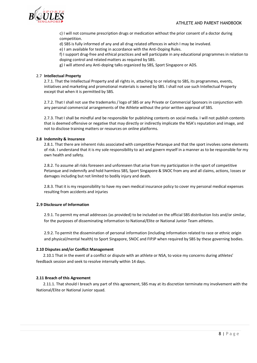

c) I will not consume prescription drugs or medication without the prior consent of a doctor during competition.

d) SBS is fully informed of any and all drug related offences in which I may be involved.

e) I am available for testing in accordance with the Anti-Doping Rules.

f) I support drug-free and ethical practices and will participate in any educational programmes in relation to doping control and related matters as required by SBS.

g) I will attend any Anti-doping talks organized by SBS, Sport Singapore or ADS.

#### 2.7 **Intellectual Property**

2.7.1. That the Intellectual Property and all rights in, attaching to or relating to SBS, its programmes, events, initiatives and marketing and promotional materials is owned by SBS. I shall not use such Intellectual Property except that when it is permitted by SBS.

2.7.2. That I shall not use the trademarks / logo of SBS or any Private or Commercial Sponsors in conjunction with any personal commercial arrangements of the Athlete without the prior written approval of SBS.

2.7.3. That I shall be mindful and be responsible for publishing contents on social media. I will not publish contents that is deemed offensive or negative that may directly or indirectly implicate the NSA's reputation and image, and not to disclose training matters or resources on online platforms.

#### **2.8 Indemnity & Insurance**

2.8.1. That there are inherent risks associated with competitive Petanque and that the sport involves some elements of risk. I understand that it is my sole responsibility to act and govern myself in a manner as to be responsible for my own health and safety.

2.8.2. To assume all risks foreseen and unforeseen that arise from my participation in the sport of competitive Petanque and indemnify and hold harmless SBS, Sport Singapore & SNOC from any and all claims, actions, losses or damages including but not limited to bodily injury and death.

2.8.3. That it is my responsibility to have my own medical insurance policy to cover my personal medical expenses resulting from accidents and injuries

#### **2.9 Disclosure of Information**

2.9.1. To permit my email addresses (as provided) to be included on the official SBS distribution lists and/or similar, for the purposes of disseminating information to National/Elite or National Junior Team athletes.

2.9.2. To permit the dissemination of personal information (including information related to race or ethnic origin and physical/mental health) to Sport Singapore, SNOC and FIPJP when required by SBS by these governing bodies.

#### **2.10 Disputes and/or Conflict Management**

 2.10.1 That in the event of a conflict or dispute with an athlete or NSA, to voice my concerns during athletes' feedback session and seek to resolve internally within 14 days.

#### **2.11 Breach of this Agreement**

 2.11.1. That should I breach any part of this agreement, SBS may at its discretion terminate my involvement with the National/Elite or National Junior squad.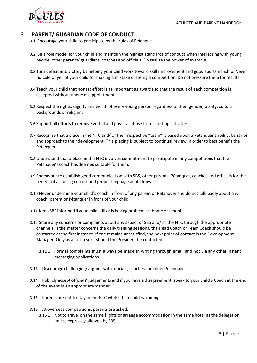

## 3. **PARENT/ GUARDIAN CODE OF CONDUCT**

- 3.1 Encourage your child to participate by the rules of Pétanque.
- 3.2 Be a role model for your child and maintain the highest standards of conduct when interacting with young people, other parents/ guardians, coaches and officials. Do realize the power of example.
- 3.3 Turn defeat into victory by helping your child work toward skill improvement and good sportsmanship. Never ridicule or yell at your child for making a mistake or losing a competition. Do not pressure them forresults.
- 3.4 Teach your child that honest effort is as important as awards so that the result of each competition is accepted without undue disappointment.
- 3.5 Respect the rights, dignity and worth of every young person regardless of their gender, ability, cultural backgrounds or religion.
- 3.6 Support all efforts to remove verbal and physical abuse from sporting activities.
- 3.7 Recognize that a place in the NTC and/ or their respective "team" is based upon a Pétanquer's ability, behavior and approach to their development. This placing is subject to continual review in order to best benefit the Pétanquer.
- 3.8 Understand that a place in the NTC involves commitment to participate in any competitionsthat the Pétanquer's coach has deemed suitable for them.
- 3.9 Endeavour to establish good communication with SBS, other parents, Pétanquer, coaches and officials for the benefit of all, using correct and proper language at all times.
- 3.10 Never undermine your child's coach in front of any parent or Pétanquer and do not talk badly about any coach, parent or Pétanquer in front of your child.
- 3.11 Keep SBS informed if your child is ill or is having problems at home or school.
- 3.12 Share any concerns or complaints about any aspect of SBS and/ or the NTC through the appropriate channels. If the matter concerns the daily training sessions, the Head Coach or Team Coach should be contacted at the first instance. If one remains unsatisfied, the next point of contact is the Development Manager. Only as a last resort, should the President be contacted.
	- 3.12.1 Formal complaints must always be made in writing through email and not via any other instant messaging applications.
- 3.13 Discourage challenging/arguing with officials, coaches and other Pétanquer.
- 3.14 Publicly accept officials' judgements and if you have a disagreement, speak to your child's Coach at the end of the event in an appropriatemanner.
- 3.15 Parents are not to stay in the NTC whilst their child istraining.
- 3.16 At overseas competitions, parents are asked,
	- 3.16.1 Not to travel on the same flights or arrange accommodation in the same hotel as the delegation unless expressly allowed by SBS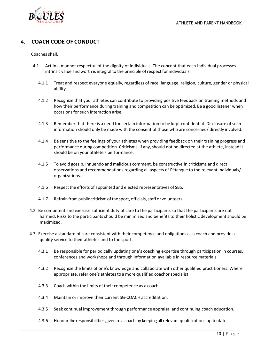## 4. **COACH CODE OF CONDUCT**

Coaches shall,

- 4.1 Act in a manner respectful of the dignity of individuals. The concept that each individual processes intrinsic value and worth is integral to the principle of respect for individuals.
	- 4.1.1 Treat and respect everyone equally, regardless of race, language, religion, culture, gender or physical ability.
	- 4.1.2 Recognize that your athletes can contribute to providing positive feedback on training methods and how their performance during training and competition can be optimized. Be a good listener when occasions for such interaction arise.
	- 4.1.3 Remember that there is a need for certain information to be kept confidential. Disclosure of such information should only be made with the consent of those who are concerned/ directly involved.
	- 4.1.4 Be sensitive to the feelings of your athletes when providing feedback on their training progress and performance during competition. Criticisms, if any, should not be directed at the athlete, instead it should be on your athlete's performance.
	- 4.1.5 To avoid gossip, innuendo and malicious comment, be constructive in criticisms and direct observations and recommendations regarding all aspects of Pétanque to the relevant individuals/ organizations.
	- 4.1.6 Respectthe efforts of appointed and elected representatives of SBS.
	- 4.1.7 Refrain from public criticism of the sport, officials, staff or volunteers.
- 4.2 Be competent and exercise sufficient duty of care to the participants so that the participants are not harmed. Risks to the participants should be minimized and benefits to their holistic development should be maximized.
- 4.3 Exercise a standard of care consistent with their competence and obligations as a coach and provide a quality service to their athletes and to the sport.
	- 4.3.1 Be responsible for periodically updating one's coaching expertise through participation in courses, conferences and workshops and through information available in resource materials.
	- 4.3.2 Recognize the limits of one's knowledge and collaborate with other qualified practitioners. Where appropriate, refer one's athletes to a more qualified coachor specialist.
	- 4.3.3 Coach within the limits of their competence as a coach.
	- 4.3.4 Maintain or improve their current SG-COACH accreditation.
	- 4.3.5 Seek continual improvement through performance appraisal and continuing coach education.
	- 4.3.6 Honour theresponsibilities given to a coach by keeping allrelevant qualifications up to date.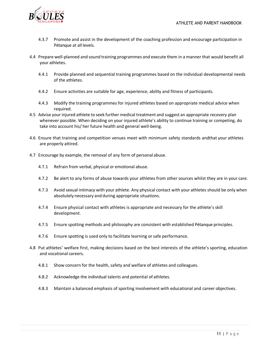

- 4.3.7 Promote and assist in the development of the coaching profession and encourage participation in Pétanque at all levels.
- 4.4 Prepare well-planned and sound training programmes and execute them in a manner that would benefit all your athletes.
	- 4.4.1 Provide planned and sequential training programmes based on the individual developmental needs of the athletes.
	- 4.4.2 Ensure activities are suitable for age, experience, ability and fitness of participants.
	- 4.4.3 Modify the training programmes for injured athletes based on appropriate medical advice when required.
- 4.5 Advise your injured athlete to seek further medical treatment and suggest an appropriate recovery plan whenever possible. When deciding on your injured athlete's ability to continue training or competing, do take into account his/ her future health and general well-being.
- 4.6 Ensure that training and competition venues meet with minimum safety standards andthat your athletes are properly attired.
- 4.7 Encourage by example, the removal of any form of personal abuse.
	- 4.7.1 Refrain from verbal, physical or emotional abuse.
	- 4.7.2 Be alert to any forms of abuse towards your athletes from other sources whilst they are in your care.
	- 4.7.3 Avoid sexual intimacy with your athlete. Any physical contact with your athletes should be only when absolutely necessary and during appropriate situations.
	- 4.7.4 Ensure physical contact with athletes is appropriate and necessary for the athlete's skill development.
	- 4.7.5 Ensure spotting methods and philosophy are consistent with established Pétanque principles.
	- 4.7.6 Ensure spotting is used only to facilitate learning or safe performance.
- 4.8 Put athletes' welfare first, making decisions based on the best interests of the athlete's sporting, education and vocational careers.
	- 4.8.1 Show concern for the health, safety and welfare of athletes and colleagues.
	- 4.8.2 Acknowledge the individual talents and potential of athletes.
	- 4.8.3 Maintain a balanced emphasis of sporting involvement with educational and career objectives.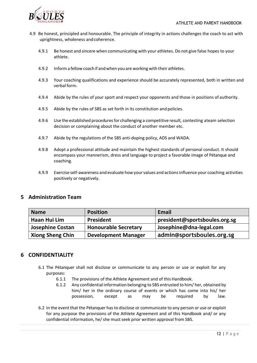

- 4.9 Be honest, principled and honourable. The principle of integrity in actions challenges the coach to act with uprightness, wholeness and coherence.
	- 4.9.1 Be honest and sincere when communicating with your athletes. Do not give false hopes to your athlete.
	- 4.9.2 Inform a fellow coachif andwhen you are working with their athletes.
	- 4.9.3 Your coaching qualifications and experience should be accurately represented, both in written and verbal form.
	- 4.9.4 Abide by the rules of your sport and respect your opponents and those in positions of authority.
	- 4.9.5 Abide by the rules of SBS as set forth in its constitution and policies.
	- 4.9.6 Use the established procedures for challenging a competitive result, contesting ateam selection decision or complaining about the conduct of another member etc.
	- 4.9.7 Abide by the regulations of the SBS anti-doping policy, ADS and WADA.
	- 4.9.8 Adopt a professional attitude and maintain the highest standards of personal conduct. It should encompass your mannerism, dress and language to project a favorable image of Pétanque and coaching.
	- 4.9.9 Exercise self-awareness and evaluate how your values and actionsinfluence your coaching activities positively or negatively.

### **5 Administration Team**

| <b>Name</b>             | <b>Position</b>             | <b>Email</b>                  |
|-------------------------|-----------------------------|-------------------------------|
| Haan Hui Lim            | <b>President</b>            | president@sportsboules.org.sg |
| <b>Josephine Costan</b> | <b>Honourable Secretary</b> | Josephine@dna-legal.com       |
| <b>Xiong Sheng Chin</b> | <b>Development Manager</b>  | admin@sportsboules.org.sg     |

### **6 CONFIDENTIALITY**

- 6.1 The Pétanquer shall not disclose or communicate to any person or use or exploit for any purposes:
	- 6.1.1 The provisions of the Athlete Agreement and of this Handbook.
	- 6.1.2 Any confidential information belonging to SBS entrusted to him/ her, obtained by him/ her in the ordinary course of events or which has come into his/ her possession, except as may be required by law.
- 6.2 In the event that the Pétanquer has to disclose or communicate to any person or use or exploit for any purpose the provisions of the Athlete Agreement and of this Handbook and/ or any confidential information, he/ she must seek prior written approval from SBS.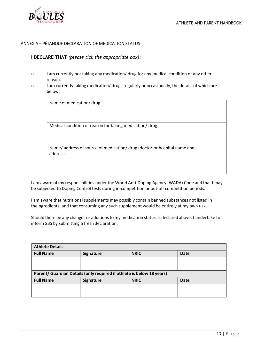

#### ANNEX A – PÉTANQUE DECLARATION OF MEDICATION STATUS

#### **I DECLARE THAT** *(please tick the appropriate box)*:

- □ I am currently not taking any medication/ drug for any medical condition or any other reason.
- □ I am currently taking medication/ drugs regularly or occasionally, the details of which are below:

| Name of medication/ drug                                                           |
|------------------------------------------------------------------------------------|
|                                                                                    |
|                                                                                    |
| Medical condition or reason for taking medication/drug                             |
|                                                                                    |
|                                                                                    |
| Name/address of source of medication/drug (doctor or hospital name and<br>address) |
|                                                                                    |
|                                                                                    |

I am aware of my responsibilities under the World Anti-Doping Agency (WADA) Code and that I may be subjected to Doping Control tests during in-competition or out-of- competition periods.

I am aware that nutritional supplements may possibly contain banned substances not listed in theingredients, and that consuming any such supplement would be entirely at my own risk.

Should there be any changes or additionsto my medication status as declared above, I undertake to inform SBS by submitting a fresh declaration.

| <b>Athlete Details</b>                                                |                  |             |             |
|-----------------------------------------------------------------------|------------------|-------------|-------------|
| <b>Full Name</b>                                                      | <b>Signature</b> | <b>NRIC</b> | <b>Date</b> |
|                                                                       |                  |             |             |
|                                                                       |                  |             |             |
| Parent/ Guardian Details (only required if athlete is below 18 years) |                  |             |             |
|                                                                       |                  |             |             |
| <b>Full Name</b>                                                      | <b>Signature</b> | <b>NRIC</b> | <b>Date</b> |
|                                                                       |                  |             |             |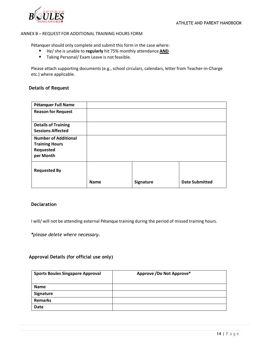

#### ANNEX B – REQUEST FOR ADDITIONAL TRAINING HOURS FORM

Pétanquer should only complete and submit this form in the case where:

- He/ she is unable to **regularly** hit 75% monthly attendance **AND**
- Taking Personal/ Exam Leave is not feasible.

Please attach supporting documents (e.g., school circulars, calendars, letter from Teacher-in-Charge etc.) where applicable.

#### **Details of Request**

| Pétanquer Full Name                                                            |             |           |                       |
|--------------------------------------------------------------------------------|-------------|-----------|-----------------------|
| <b>Reason for Request</b>                                                      |             |           |                       |
| <b>Details of Training</b><br><b>Sessions Affected</b>                         |             |           |                       |
| <b>Number of Additional</b><br><b>Training Hours</b><br>Requested<br>per Month |             |           |                       |
| <b>Requested By</b>                                                            |             |           |                       |
|                                                                                | <b>Name</b> | Signature | <b>Date Submitted</b> |

#### **Declaration**

I will/ will not be attending external Pétanque training during the period of missed training hours.

*\*please delete where necessary.*

#### **Approval Details (for official use only)**

| <b>Sports Boules Singapore Approval</b> | Approve / Do Not Approve* |
|-----------------------------------------|---------------------------|
|                                         |                           |
| <b>Name</b>                             |                           |
| Signature                               |                           |
| <b>Remarks</b>                          |                           |
| <b>Date</b>                             |                           |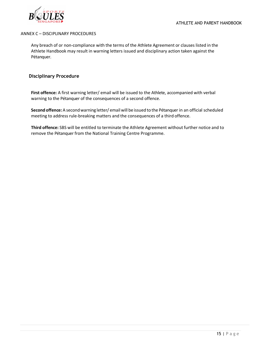

#### ANNEX C – DISCIPLINARY PROCEDURES

Any breach of or non-compliance with the terms of the Athlete Agreement or clauses listed in the Athlete Handbook may result in warning letters issued and disciplinary action taken against the Pétanquer.

#### **Disciplinary Procedure**

**First offence:** A first warning letter/ email will be issued to the Athlete, accompanied with verbal warning to the Pétanquer of the consequences of a second offence.

**Second offence:**A secondwarning letter/ emailwill be issued to the Pétanquer in an official scheduled meeting to address rule-breaking matters and the consequences of a third offence.

**Third offence:** SBS will be entitled to terminate the Athlete Agreement without further notice and to remove the Pétanquer from the National Training Centre Programme.